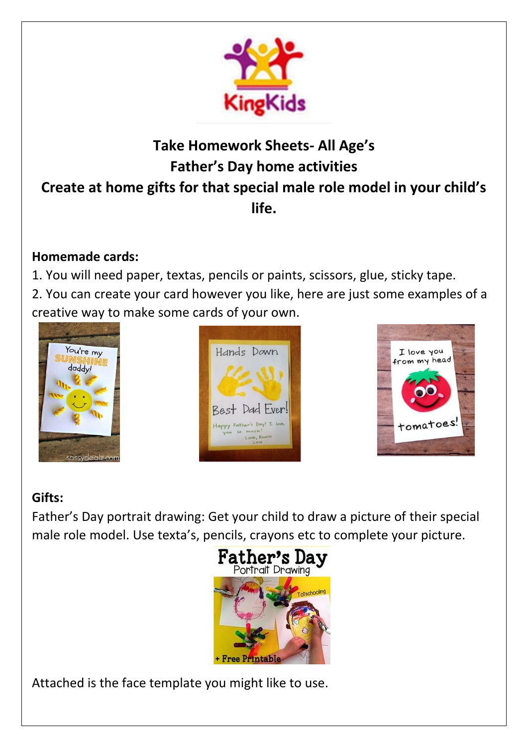

## **Take Homework Sheets- All Age's Father's Day home activities Create at home gifts for that special male role model in your child's life.**

### **Homemade cards:**

1. You will need paper, textas, pencils or paints, scissors, glue, sticky tape.

2. You can create your card however you like, here are just some examples of a creative way to make some cards of your own.







### **Gifts:**

Father's Day portrait drawing: Get your child to draw a picture of their special male role model. Use texta's, pencils, crayons etc to complete your picture.



Attached is the face template you might like to use.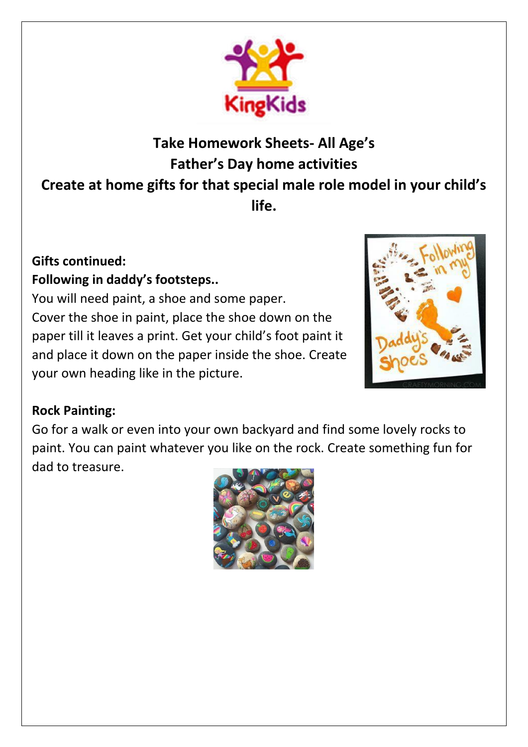

## **Take Homework Sheets- All Age's Father's Day home activities Create at home gifts for that special male role model in your child's life.**

#### **Gifts continued: Following in daddy's footsteps..**

You will need paint, a shoe and some paper. Cover the shoe in paint, place the shoe down on the paper till it leaves a print. Get your child's foot paint it and place it down on the paper inside the shoe. Create your own heading like in the picture.



### **Rock Painting:**

Go for a walk or even into your own backyard and find some lovely rocks to paint. You can paint whatever you like on the rock. Create something fun for dad to treasure.

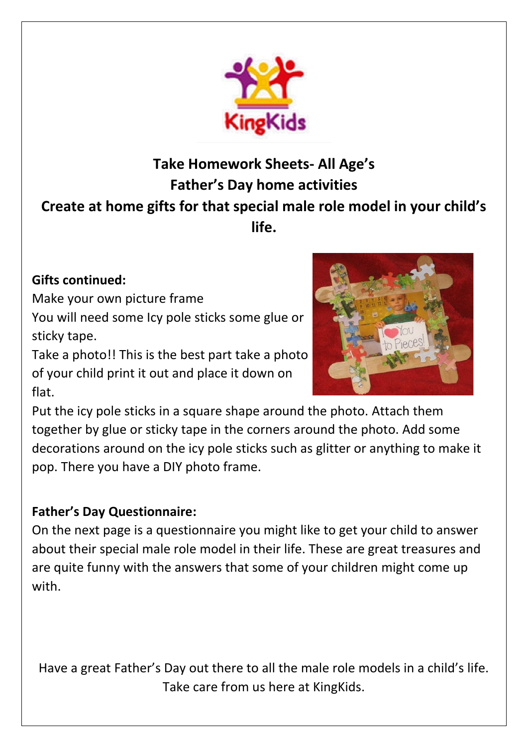

# **Take Homework Sheets- All Age's Father's Day home activities Create at home gifts for that special male role model in your child's life.**

#### **Gifts continued:**

Make your own picture frame

You will need some Icy pole sticks some glue or sticky tape.

Take a photo!! This is the best part take a photo of your child print it out and place it down on flat.



Put the icy pole sticks in a square shape around the photo. Attach them together by glue or sticky tape in the corners around the photo. Add some decorations around on the icy pole sticks such as glitter or anything to make it pop. There you have a DIY photo frame.

#### **Father's Day Questionnaire:**

On the next page is a questionnaire you might like to get your child to answer about their special male role model in their life. These are great treasures and are quite funny with the answers that some of your children might come up with.

Have a great Father's Day out there to all the male role models in a child's life. Take care from us here at KingKids.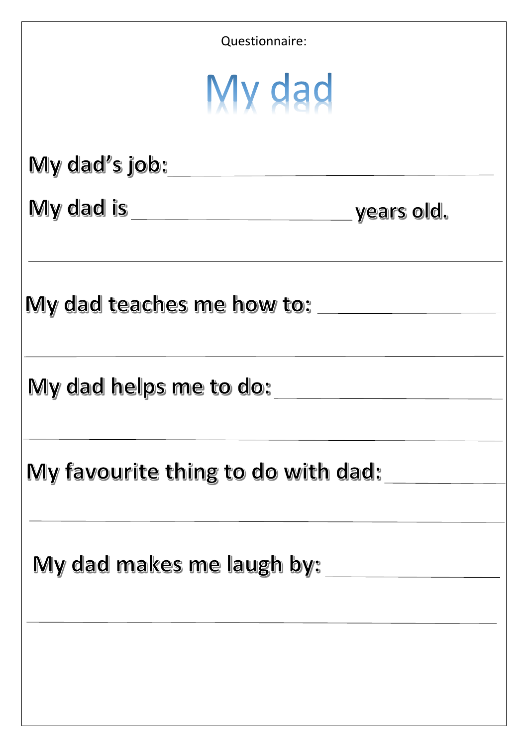| Questionnaire:                     |  |
|------------------------------------|--|
| My dad                             |  |
| My dad's job:                      |  |
|                                    |  |
| My dad teaches me how to: ___      |  |
| My dad helps me to do:             |  |
| My favourite thing to do with dad: |  |
| My dad makes me laugh by:          |  |
|                                    |  |
|                                    |  |